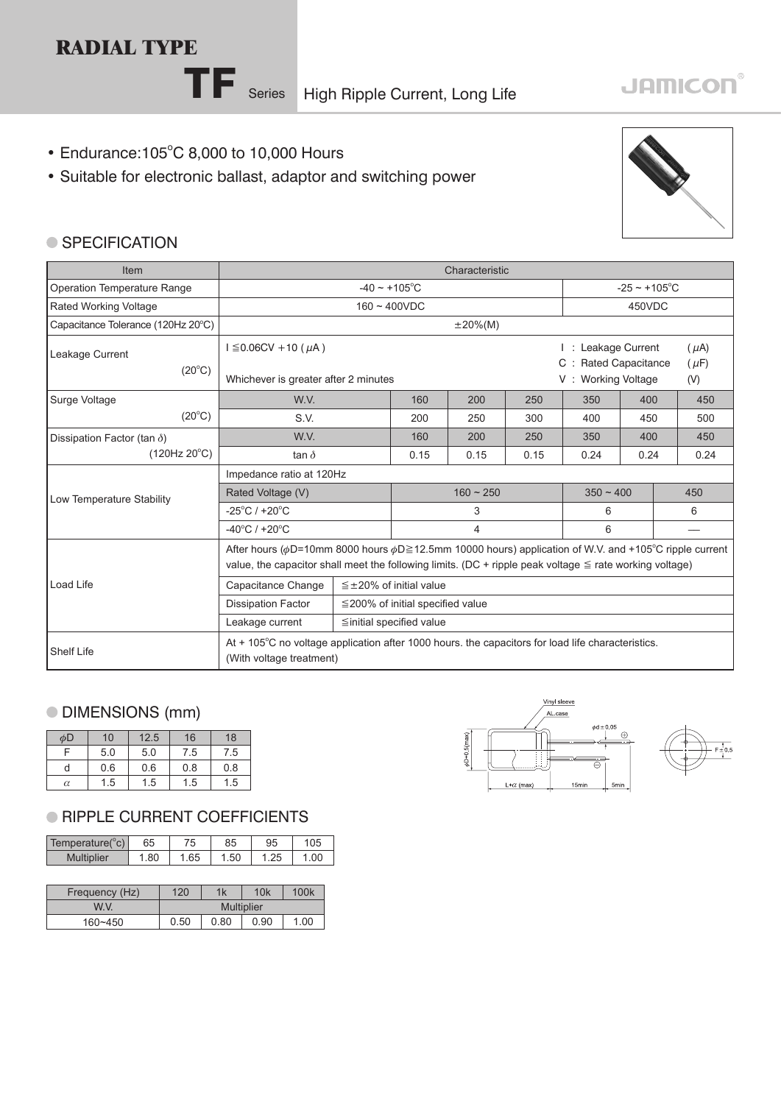# **RADIAL TYPE**

# **JAMICON®**

- Endurance: 105°C 8,000 to 10,000 Hours
- Suitable for electronic ballast, adaptor and switching power



#### ● SPECIFICATION

| Item                                                                                                                                               | Characteristic                                                                                                                                                                                                                   |                                |                 |            |                           |                                               |     |                        |      |
|----------------------------------------------------------------------------------------------------------------------------------------------------|----------------------------------------------------------------------------------------------------------------------------------------------------------------------------------------------------------------------------------|--------------------------------|-----------------|------------|---------------------------|-----------------------------------------------|-----|------------------------|------|
| Operation Temperature Range                                                                                                                        | $-40 \sim +105^{\circ}$ C                                                                                                                                                                                                        |                                |                 |            | $-25 \sim +105^{\circ}$ C |                                               |     |                        |      |
| Rated Working Voltage                                                                                                                              |                                                                                                                                                                                                                                  |                                | $160 - 400$ VDC |            |                           | 450VDC                                        |     |                        |      |
| Capacitance Tolerance (120Hz 20°C)                                                                                                                 |                                                                                                                                                                                                                                  |                                |                 | $±20\%(M)$ |                           |                                               |     |                        |      |
| Leakage Current<br>$(20^{\circ}C)$                                                                                                                 | $I \leq 0.06$ CV + 10 ( $\mu$ A)                                                                                                                                                                                                 |                                |                 |            |                           | : Leakage Current<br><b>Rated Capacitance</b> |     | $(\mu A)$<br>$(\mu F)$ |      |
|                                                                                                                                                    | Whichever is greater after 2 minutes                                                                                                                                                                                             |                                |                 |            |                           | <b>Working Voltage</b><br>V:                  |     | (V)                    |      |
| Surge Voltage                                                                                                                                      | W.V.                                                                                                                                                                                                                             |                                | 160             | 200        | 250                       | 350                                           | 400 |                        | 450  |
| $(20^{\circ}C)$                                                                                                                                    | S.V.                                                                                                                                                                                                                             |                                | 200             | 250        | 300                       | 400                                           | 450 |                        | 500  |
| Dissipation Factor (tan $\delta$ )                                                                                                                 | W.V.                                                                                                                                                                                                                             |                                | 160             | 200        | 250                       | 350                                           | 400 |                        | 450  |
| (120Hz 20°C)                                                                                                                                       | tan $\delta$                                                                                                                                                                                                                     |                                | 0.15            | 0.15       | 0.15                      | 0.24<br>0.24                                  |     |                        | 0.24 |
|                                                                                                                                                    | Impedance ratio at 120Hz                                                                                                                                                                                                         |                                |                 |            |                           |                                               |     |                        |      |
| Low Temperature Stability                                                                                                                          | Rated Voltage (V)                                                                                                                                                                                                                |                                | $160 - 250$     |            |                           | $350 - 400$                                   |     |                        | 450  |
|                                                                                                                                                    | $-25^{\circ}$ C / +20 $^{\circ}$ C                                                                                                                                                                                               |                                | 3               |            |                           | 6                                             |     | 6                      |      |
|                                                                                                                                                    | $-40^{\circ}$ C / +20 $^{\circ}$ C                                                                                                                                                                                               | 4                              |                 |            | 6                         |                                               |     |                        |      |
|                                                                                                                                                    | After hours ( $\phi$ D=10mm 8000 hours $\phi$ D≥12.5mm 10000 hours) application of W.V. and +105°C ripple current<br>value, the capacitor shall meet the following limits. (DC + ripple peak voltage $\le$ rate working voltage) |                                |                 |            |                           |                                               |     |                        |      |
| Load Life                                                                                                                                          | Capacitance Change<br>$\leq$ ±20% of initial value                                                                                                                                                                               |                                |                 |            |                           |                                               |     |                        |      |
|                                                                                                                                                    | <b>Dissipation Factor</b><br>$\leq$ 200% of initial specified value                                                                                                                                                              |                                |                 |            |                           |                                               |     |                        |      |
|                                                                                                                                                    | Leakage current                                                                                                                                                                                                                  | $\leq$ initial specified value |                 |            |                           |                                               |     |                        |      |
| At + 105°C no voltage application after 1000 hours, the capacitors for load life characteristics.<br><b>Shelf Life</b><br>(With voltage treatment) |                                                                                                                                                                                                                                  |                                |                 |            |                           |                                               |     |                        |      |

## DIMENSIONS (mm)

| φD       | 10  | 12.5 | 16  | 18  |
|----------|-----|------|-----|-----|
|          | 5.0 | 5.0  | 7.5 | 7.5 |
| d        | 0.6 | 0.6  | 0.8 | 0.8 |
| $\alpha$ | 1.5 | 1.5  | 1.5 | 1.5 |

#### **RIPPLE CURRENT COEFFICIENTS**

| Temperature(°c)   | 65  | 75  | 85   | 95         | 105  |
|-------------------|-----|-----|------|------------|------|
| <b>Multiplier</b> | .80 | .65 | l.50 | つら<br>ن ے. | 1.00 |

| Frequency (Hz) | 120  | 1k                | 10k  | 100k |
|----------------|------|-------------------|------|------|
| W.V.           |      | <b>Multiplier</b> |      |      |
| $160 - 450$    | 0.50 | 0.80              | 0.90 | 1.00 |